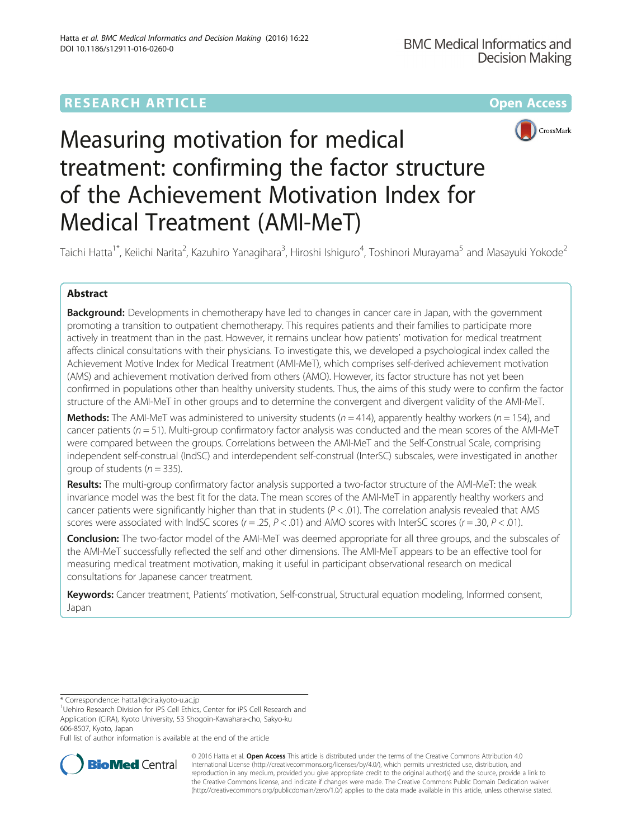# **RESEARCH ARTICLE Example 2014 12:30 The Contract of Contract Article 2014**





# Measuring motivation for medical treatment: confirming the factor structure of the Achievement Motivation Index for Medical Treatment (AMI-MeT)

Taichi Hatta<sup>1\*</sup>, Keiichi Narita<sup>2</sup>, Kazuhiro Yanagihara<sup>3</sup>, Hiroshi Ishiguro<sup>4</sup>, Toshinori Murayama<sup>5</sup> and Masayuki Yokode<sup>2</sup>

# Abstract

**Background:** Developments in chemotherapy have led to changes in cancer care in Japan, with the government promoting a transition to outpatient chemotherapy. This requires patients and their families to participate more actively in treatment than in the past. However, it remains unclear how patients' motivation for medical treatment affects clinical consultations with their physicians. To investigate this, we developed a psychological index called the Achievement Motive Index for Medical Treatment (AMI-MeT), which comprises self-derived achievement motivation (AMS) and achievement motivation derived from others (AMO). However, its factor structure has not yet been confirmed in populations other than healthy university students. Thus, the aims of this study were to confirm the factor structure of the AMI-MeT in other groups and to determine the convergent and divergent validity of the AMI-MeT.

**Methods:** The AMI-MeT was administered to university students ( $n = 414$ ), apparently healthy workers ( $n = 154$ ), and cancer patients ( $n = 51$ ). Multi-group confirmatory factor analysis was conducted and the mean scores of the AMI-MeT were compared between the groups. Correlations between the AMI-MeT and the Self-Construal Scale, comprising independent self-construal (IndSC) and interdependent self-construal (InterSC) subscales, were investigated in another group of students ( $n = 335$ ).

Results: The multi-group confirmatory factor analysis supported a two-factor structure of the AMI-MeT: the weak invariance model was the best fit for the data. The mean scores of the AMI-MeT in apparently healthy workers and cancer patients were significantly higher than that in students  $(P < .01)$ . The correlation analysis revealed that AMS scores were associated with IndSC scores ( $r = .25$ ,  $P < .01$ ) and AMO scores with InterSC scores ( $r = .30$ ,  $P < .01$ ).

Conclusion: The two-factor model of the AMI-MeT was deemed appropriate for all three groups, and the subscales of the AMI-MeT successfully reflected the self and other dimensions. The AMI-MeT appears to be an effective tool for measuring medical treatment motivation, making it useful in participant observational research on medical consultations for Japanese cancer treatment.

Keywords: Cancer treatment, Patients' motivation, Self-construal, Structural equation modeling, Informed consent, Japan

\* Correspondence: [hatta1@cira.kyoto-u.ac.jp](mailto:hatta1@cira.kyoto-u.ac.jp) <sup>1</sup>

Full list of author information is available at the end of the article



© 2016 Hatta et al. Open Access This article is distributed under the terms of the Creative Commons Attribution 4.0 International License [\(http://creativecommons.org/licenses/by/4.0/](http://creativecommons.org/licenses/by/4.0/)), which permits unrestricted use, distribution, and reproduction in any medium, provided you give appropriate credit to the original author(s) and the source, provide a link to the Creative Commons license, and indicate if changes were made. The Creative Commons Public Domain Dedication waiver [\(http://creativecommons.org/publicdomain/zero/1.0/](http://creativecommons.org/publicdomain/zero/1.0/)) applies to the data made available in this article, unless otherwise stated.

<sup>&</sup>lt;sup>1</sup> Uehiro Research Division for iPS Cell Ethics, Center for iPS Cell Research and Application (CiRA), Kyoto University, 53 Shogoin-Kawahara-cho, Sakyo-ku 606-8507, Kyoto, Japan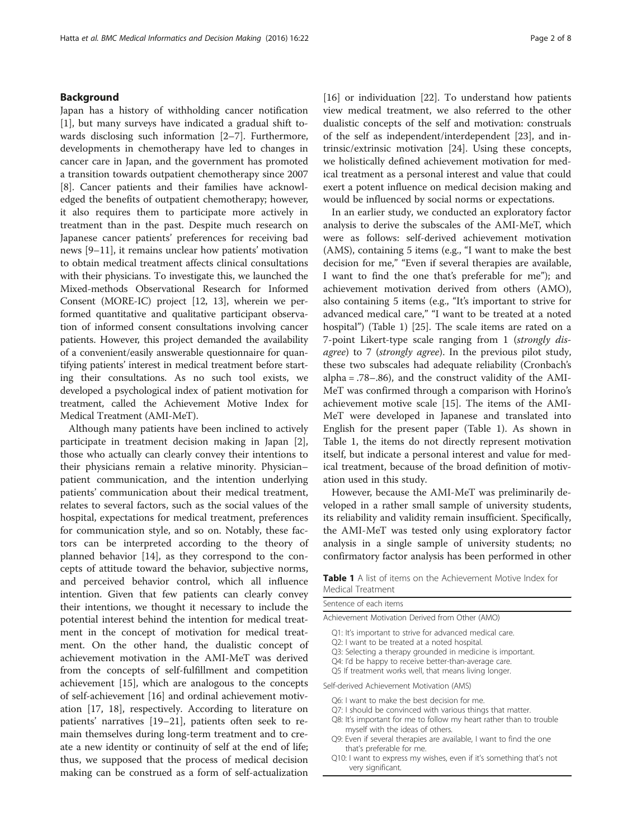# Background

Japan has a history of withholding cancer notification [[1\]](#page-7-0), but many surveys have indicated a gradual shift towards disclosing such information [\[2](#page-7-0)–[7](#page-7-0)]. Furthermore, developments in chemotherapy have led to changes in cancer care in Japan, and the government has promoted a transition towards outpatient chemotherapy since 2007 [[8\]](#page-7-0). Cancer patients and their families have acknowledged the benefits of outpatient chemotherapy; however, it also requires them to participate more actively in treatment than in the past. Despite much research on Japanese cancer patients' preferences for receiving bad news [\[9](#page-7-0)–[11\]](#page-7-0), it remains unclear how patients' motivation to obtain medical treatment affects clinical consultations with their physicians. To investigate this, we launched the Mixed-methods Observational Research for Informed Consent (MORE-IC) project [\[12, 13](#page-7-0)], wherein we performed quantitative and qualitative participant observation of informed consent consultations involving cancer patients. However, this project demanded the availability of a convenient/easily answerable questionnaire for quantifying patients' interest in medical treatment before starting their consultations. As no such tool exists, we developed a psychological index of patient motivation for treatment, called the Achievement Motive Index for Medical Treatment (AMI-MeT).

Although many patients have been inclined to actively participate in treatment decision making in Japan [\[2](#page-7-0)], those who actually can clearly convey their intentions to their physicians remain a relative minority. Physician– patient communication, and the intention underlying patients' communication about their medical treatment, relates to several factors, such as the social values of the hospital, expectations for medical treatment, preferences for communication style, and so on. Notably, these factors can be interpreted according to the theory of planned behavior [[14](#page-7-0)], as they correspond to the concepts of attitude toward the behavior, subjective norms, and perceived behavior control, which all influence intention. Given that few patients can clearly convey their intentions, we thought it necessary to include the potential interest behind the intention for medical treatment in the concept of motivation for medical treatment. On the other hand, the dualistic concept of achievement motivation in the AMI-MeT was derived from the concepts of self-fulfillment and competition achievement [\[15](#page-7-0)], which are analogous to the concepts of self-achievement [[16](#page-7-0)] and ordinal achievement motivation [\[17](#page-7-0), [18](#page-7-0)], respectively. According to literature on patients' narratives [[19](#page-7-0)–[21\]](#page-7-0), patients often seek to remain themselves during long-term treatment and to create a new identity or continuity of self at the end of life; thus, we supposed that the process of medical decision making can be construed as a form of self-actualization [[16\]](#page-7-0) or individuation [\[22](#page-7-0)]. To understand how patients view medical treatment, we also referred to the other dualistic concepts of the self and motivation: construals of the self as independent/interdependent [\[23](#page-7-0)], and intrinsic/extrinsic motivation [[24\]](#page-7-0). Using these concepts, we holistically defined achievement motivation for medical treatment as a personal interest and value that could exert a potent influence on medical decision making and would be influenced by social norms or expectations.

In an earlier study, we conducted an exploratory factor analysis to derive the subscales of the AMI-MeT, which were as follows: self-derived achievement motivation (AMS), containing 5 items (e.g., "I want to make the best decision for me," "Even if several therapies are available, I want to find the one that's preferable for me"); and achievement motivation derived from others (AMO), also containing 5 items (e.g., "It's important to strive for advanced medical care," "I want to be treated at a noted hospital") (Table 1) [\[25](#page-7-0)]. The scale items are rated on a 7-point Likert-type scale ranging from 1 (strongly disagree) to 7 (strongly agree). In the previous pilot study, these two subscales had adequate reliability (Cronbach's alpha =  $.78-0.86$ , and the construct validity of the AMI-MeT was confirmed through a comparison with Horino's achievement motive scale [[15](#page-7-0)]. The items of the AMI-MeT were developed in Japanese and translated into English for the present paper (Table 1). As shown in Table 1, the items do not directly represent motivation itself, but indicate a personal interest and value for medical treatment, because of the broad definition of motivation used in this study.

However, because the AMI-MeT was preliminarily developed in a rather small sample of university students, its reliability and validity remain insufficient. Specifically, the AMI-MeT was tested only using exploratory factor analysis in a single sample of university students; no confirmatory factor analysis has been performed in other

Table 1 A list of items on the Achievement Motive Index for Medical Treatment

| Sentence of each items                                                                                                                                                                                                                                                                       |
|----------------------------------------------------------------------------------------------------------------------------------------------------------------------------------------------------------------------------------------------------------------------------------------------|
| Achievement Motivation Derived from Other (AMO)                                                                                                                                                                                                                                              |
| Q1: It's important to strive for advanced medical care.<br>Q2: I want to be treated at a noted hospital.                                                                                                                                                                                     |
| Q3: Selecting a therapy grounded in medicine is important.<br>Out that has the company of the contract the contract of the contract of the contract of the contract of the contract of the contract of the contract of the contract of the contract of the contract of the contract of the c |

Q4: I'd be happy to receive better-than-average care. Q5 If treatment works well, that means living longer.

Self-derived Achievement Motivation (AMS)

- Q6: I want to make the best decision for me.
- Q7: I should be convinced with various things that matter.
- Q8: It's important for me to follow my heart rather than to trouble myself with the ideas of others.
- Q9: Even if several therapies are available, I want to find the one that's preferable for me.
- Q10: I want to express my wishes, even if it's something that's not very significant.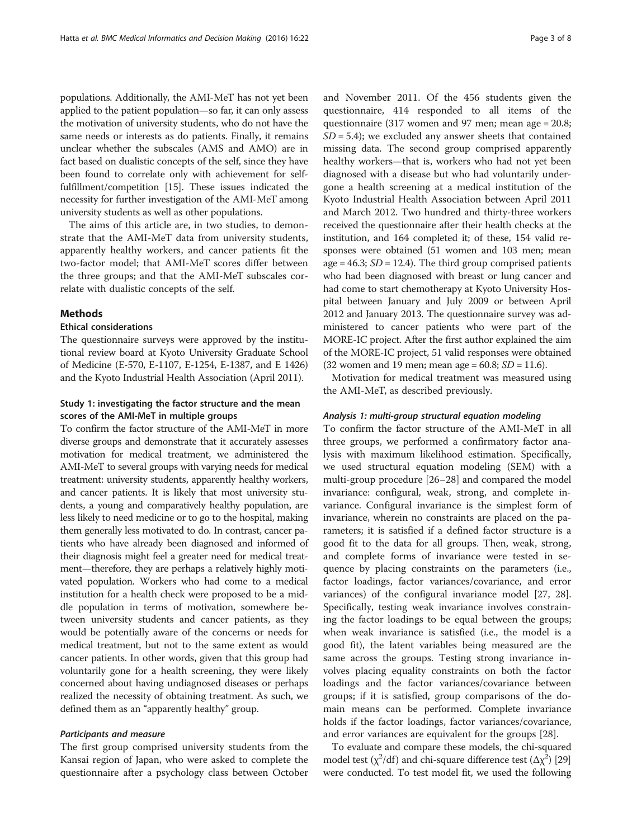populations. Additionally, the AMI-MeT has not yet been applied to the patient population—so far, it can only assess the motivation of university students, who do not have the same needs or interests as do patients. Finally, it remains unclear whether the subscales (AMS and AMO) are in fact based on dualistic concepts of the self, since they have been found to correlate only with achievement for selffulfillment/competition [\[15\]](#page-7-0). These issues indicated the necessity for further investigation of the AMI-MeT among university students as well as other populations.

The aims of this article are, in two studies, to demonstrate that the AMI-MeT data from university students, apparently healthy workers, and cancer patients fit the two-factor model; that AMI-MeT scores differ between the three groups; and that the AMI-MeT subscales correlate with dualistic concepts of the self.

#### Methods

#### Ethical considerations

The questionnaire surveys were approved by the institutional review board at Kyoto University Graduate School of Medicine (E-570, E-1107, E-1254, E-1387, and E 1426) and the Kyoto Industrial Health Association (April 2011).

# Study 1: investigating the factor structure and the mean scores of the AMI-MeT in multiple groups

To confirm the factor structure of the AMI-MeT in more diverse groups and demonstrate that it accurately assesses motivation for medical treatment, we administered the AMI-MeT to several groups with varying needs for medical treatment: university students, apparently healthy workers, and cancer patients. It is likely that most university students, a young and comparatively healthy population, are less likely to need medicine or to go to the hospital, making them generally less motivated to do. In contrast, cancer patients who have already been diagnosed and informed of their diagnosis might feel a greater need for medical treatment—therefore, they are perhaps a relatively highly motivated population. Workers who had come to a medical institution for a health check were proposed to be a middle population in terms of motivation, somewhere between university students and cancer patients, as they would be potentially aware of the concerns or needs for medical treatment, but not to the same extent as would cancer patients. In other words, given that this group had voluntarily gone for a health screening, they were likely concerned about having undiagnosed diseases or perhaps realized the necessity of obtaining treatment. As such, we defined them as an "apparently healthy" group.

## Participants and measure

The first group comprised university students from the Kansai region of Japan, who were asked to complete the questionnaire after a psychology class between October

and November 2011. Of the 456 students given the questionnaire, 414 responded to all items of the questionnaire (317 women and 97 men; mean age = 20.8;  $SD = 5.4$ ); we excluded any answer sheets that contained missing data. The second group comprised apparently healthy workers—that is, workers who had not yet been diagnosed with a disease but who had voluntarily undergone a health screening at a medical institution of the Kyoto Industrial Health Association between April 2011 and March 2012. Two hundred and thirty-three workers received the questionnaire after their health checks at the institution, and 164 completed it; of these, 154 valid responses were obtained (51 women and 103 men; mean age =  $46.3$ ;  $SD = 12.4$ ). The third group comprised patients who had been diagnosed with breast or lung cancer and had come to start chemotherapy at Kyoto University Hospital between January and July 2009 or between April 2012 and January 2013. The questionnaire survey was administered to cancer patients who were part of the MORE-IC project. After the first author explained the aim of the MORE-IC project, 51 valid responses were obtained (32 women and 19 men; mean age =  $60.8$ ;  $SD = 11.6$ ).

Motivation for medical treatment was measured using the AMI-MeT, as described previously.

#### Analysis 1: multi-group structural equation modeling

To confirm the factor structure of the AMI-MeT in all three groups, we performed a confirmatory factor analysis with maximum likelihood estimation. Specifically, we used structural equation modeling (SEM) with a multi-group procedure [\[26](#page-7-0)–[28](#page-7-0)] and compared the model invariance: configural, weak, strong, and complete invariance. Configural invariance is the simplest form of invariance, wherein no constraints are placed on the parameters; it is satisfied if a defined factor structure is a good fit to the data for all groups. Then, weak, strong, and complete forms of invariance were tested in sequence by placing constraints on the parameters (i.e., factor loadings, factor variances/covariance, and error variances) of the configural invariance model [[27](#page-7-0), [28](#page-7-0)]. Specifically, testing weak invariance involves constraining the factor loadings to be equal between the groups; when weak invariance is satisfied (i.e., the model is a good fit), the latent variables being measured are the same across the groups. Testing strong invariance involves placing equality constraints on both the factor loadings and the factor variances/covariance between groups; if it is satisfied, group comparisons of the domain means can be performed. Complete invariance holds if the factor loadings, factor variances/covariance, and error variances are equivalent for the groups [[28](#page-7-0)].

To evaluate and compare these models, the chi-squared model test ( $\chi^2$ /df) and chi-square difference test ( $\Delta \chi^2$ ) [[29](#page-7-0)] were conducted. To test model fit, we used the following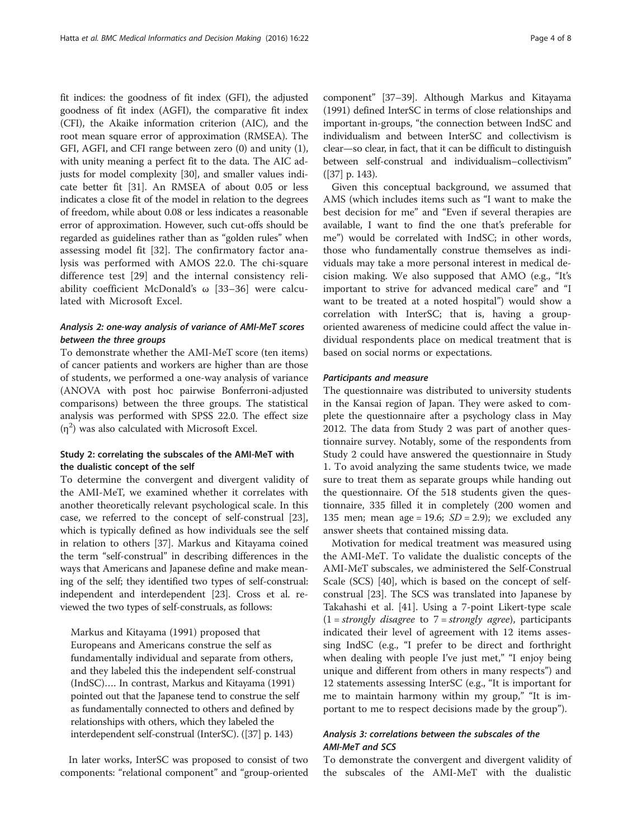fit indices: the goodness of fit index (GFI), the adjusted goodness of fit index (AGFI), the comparative fit index (CFI), the Akaike information criterion (AIC), and the root mean square error of approximation (RMSEA). The GFI, AGFI, and CFI range between zero (0) and unity (1), with unity meaning a perfect fit to the data. The AIC adjusts for model complexity [\[30\]](#page-7-0), and smaller values indicate better fit [[31](#page-7-0)]. An RMSEA of about 0.05 or less indicates a close fit of the model in relation to the degrees of freedom, while about 0.08 or less indicates a reasonable error of approximation. However, such cut-offs should be regarded as guidelines rather than as "golden rules" when assessing model fit [[32](#page-7-0)]. The confirmatory factor analysis was performed with AMOS 22.0. The chi-square difference test [\[29](#page-7-0)] and the internal consistency reliability coefficient McDonald's ω [[33](#page-7-0)–[36\]](#page-7-0) were calculated with Microsoft Excel.

# Analysis 2: one-way analysis of variance of AMI-MeT scores between the three groups

To demonstrate whether the AMI-MeT score (ten items) of cancer patients and workers are higher than are those of students, we performed a one-way analysis of variance (ANOVA with post hoc pairwise Bonferroni-adjusted comparisons) between the three groups. The statistical analysis was performed with SPSS 22.0. The effect size  $(η<sup>2</sup>)$  was also calculated with Microsoft Excel.

# Study 2: correlating the subscales of the AMI-MeT with the dualistic concept of the self

To determine the convergent and divergent validity of the AMI-MeT, we examined whether it correlates with another theoretically relevant psychological scale. In this case, we referred to the concept of self-construal [\[23](#page-7-0)], which is typically defined as how individuals see the self in relation to others [\[37](#page-7-0)]. Markus and Kitayama coined the term "self-construal" in describing differences in the ways that Americans and Japanese define and make meaning of the self; they identified two types of self-construal: independent and interdependent [\[23](#page-7-0)]. Cross et al. reviewed the two types of self-construals, as follows:

Markus and Kitayama (1991) proposed that Europeans and Americans construe the self as fundamentally individual and separate from others, and they labeled this the independent self-construal (IndSC)…. In contrast, Markus and Kitayama (1991) pointed out that the Japanese tend to construe the self as fundamentally connected to others and defined by relationships with others, which they labeled the interdependent self-construal (InterSC). ([[37](#page-7-0)] p. 143)

In later works, InterSC was proposed to consist of two components: "relational component" and "group-oriented component" [\[37](#page-7-0)–[39](#page-7-0)]. Although Markus and Kitayama (1991) defined InterSC in terms of close relationships and important in-groups, "the connection between IndSC and individualism and between InterSC and collectivism is clear—so clear, in fact, that it can be difficult to distinguish between self-construal and individualism–collectivism" ([\[37\]](#page-7-0) p. 143).

Given this conceptual background, we assumed that AMS (which includes items such as "I want to make the best decision for me" and "Even if several therapies are available, I want to find the one that's preferable for me") would be correlated with IndSC; in other words, those who fundamentally construe themselves as individuals may take a more personal interest in medical decision making. We also supposed that AMO (e.g., "It's important to strive for advanced medical care" and "I want to be treated at a noted hospital") would show a correlation with InterSC; that is, having a grouporiented awareness of medicine could affect the value individual respondents place on medical treatment that is based on social norms or expectations.

#### Participants and measure

The questionnaire was distributed to university students in the Kansai region of Japan. They were asked to complete the questionnaire after a psychology class in May 2012. The data from Study 2 was part of another questionnaire survey. Notably, some of the respondents from Study 2 could have answered the questionnaire in Study 1. To avoid analyzing the same students twice, we made sure to treat them as separate groups while handing out the questionnaire. Of the 518 students given the questionnaire, 335 filled it in completely (200 women and 135 men; mean age = 19.6;  $SD = 2.9$ ); we excluded any answer sheets that contained missing data.

Motivation for medical treatment was measured using the AMI-MeT. To validate the dualistic concepts of the AMI-MeT subscales, we administered the Self-Construal Scale (SCS) [\[40\]](#page-7-0), which is based on the concept of selfconstrual [\[23](#page-7-0)]. The SCS was translated into Japanese by Takahashi et al. [[41\]](#page-7-0). Using a 7-point Likert-type scale  $(1 = strongly \ *disagree* to \ *7 = strongly \ *agree*),*$  participants indicated their level of agreement with 12 items assessing IndSC (e.g., "I prefer to be direct and forthright when dealing with people I've just met," "I enjoy being unique and different from others in many respects") and 12 statements assessing InterSC (e.g., "It is important for me to maintain harmony within my group," "It is important to me to respect decisions made by the group").

# Analysis 3: correlations between the subscales of the AMI-MeT and SCS

To demonstrate the convergent and divergent validity of the subscales of the AMI-MeT with the dualistic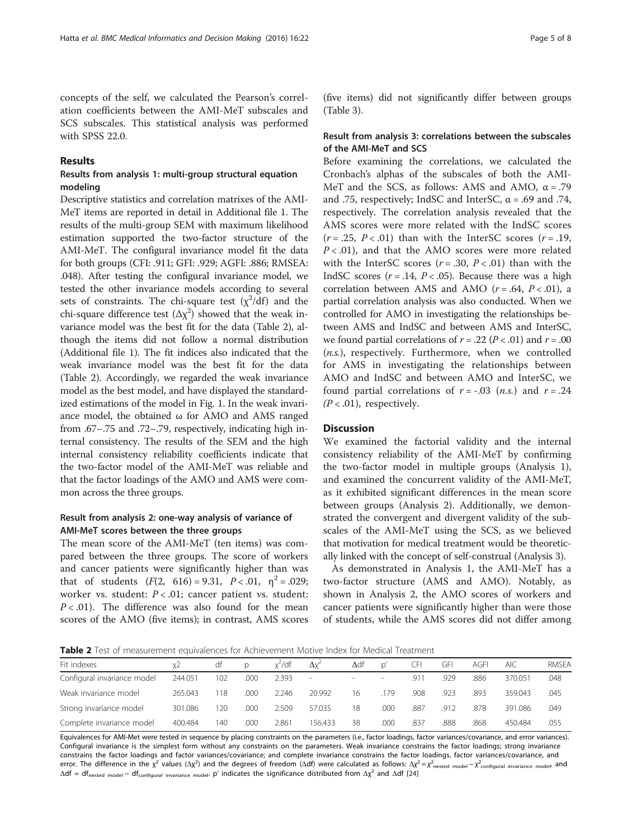concepts of the self, we calculated the Pearson's correlation coefficients between the AMI-MeT subscales and SCS subscales. This statistical analysis was performed with SPSS 22.0.

#### Results

# Results from analysis 1: multi-group structural equation modeling

Descriptive statistics and correlation matrixes of the AMI-MeT items are reported in detail in Additional file [1](#page-6-0). The results of the multi-group SEM with maximum likelihood estimation supported the two-factor structure of the AMI-MeT. The configural invariance model fit the data for both groups (CFI: .911; GFI: .929; AGFI: .886; RMSEA: .048). After testing the configural invariance model, we tested the other invariance models according to several sets of constraints. The chi-square test  $(\chi^2/df)$  and the chi-square difference test  $(\Delta \chi^2)$  showed that the weak invariance model was the best fit for the data (Table 2), although the items did not follow a normal distribution (Additional file [1](#page-6-0)). The fit indices also indicated that the weak invariance model was the best fit for the data (Table 2). Accordingly, we regarded the weak invariance model as the best model, and have displayed the standardized estimations of the model in Fig. [1](#page-5-0). In the weak invariance model, the obtained ω for AMO and AMS ranged from .67–.75 and .72–.79, respectively, indicating high internal consistency. The results of the SEM and the high internal consistency reliability coefficients indicate that the two-factor model of the AMI-MeT was reliable and that the factor loadings of the AMO and AMS were common across the three groups.

# Result from analysis 2: one-way analysis of variance of AMI-MeT scores between the three groups

The mean score of the AMI-MeT (ten items) was compared between the three groups. The score of workers and cancer patients were significantly higher than was that of students  $(F(2, 616) = 9.31, P < .01, \eta^2 = .029;$ worker vs. student:  $P < .01$ ; cancer patient vs. student:  $P < .01$ ). The difference was also found for the mean scores of the AMO (five items); in contrast, AMS scores (five items) did not significantly differ between groups (Table [3](#page-5-0)).

### Result from analysis 3: correlations between the subscales of the AMI-MeT and SCS

Before examining the correlations, we calculated the Cronbach's alphas of the subscales of both the AMI-MeT and the SCS, as follows: AMS and AMO,  $\alpha = .79$ and .75, respectively; IndSC and InterSC,  $\alpha$  = .69 and .74, respectively. The correlation analysis revealed that the AMS scores were more related with the IndSC scores  $(r=.25, P<.01)$  than with the InterSC scores  $(r=.19,$  $P < .01$ ), and that the AMO scores were more related with the InterSC scores  $(r=.30, P < .01)$  than with the IndSC scores  $(r = .14, P < .05)$ . Because there was a high correlation between AMS and AMO ( $r = .64$ ,  $P < .01$ ), a partial correlation analysis was also conducted. When we controlled for AMO in investigating the relationships between AMS and IndSC and between AMS and InterSC, we found partial correlations of  $r = .22$  ( $P < .01$ ) and  $r = .00$ (n.s.), respectively. Furthermore, when we controlled for AMS in investigating the relationships between AMO and IndSC and between AMO and InterSC, we found partial correlations of  $r = -.03$  (*n.s.*) and  $r = .24$  $(P < .01)$ , respectively.

#### **Discussion**

We examined the factorial validity and the internal consistency reliability of the AMI-MeT by confirming the two-factor model in multiple groups (Analysis 1), and examined the concurrent validity of the AMI-MeT, as it exhibited significant differences in the mean score between groups (Analysis 2). Additionally, we demonstrated the convergent and divergent validity of the subscales of the AMI-MeT using the SCS, as we believed that motivation for medical treatment would be theoretically linked with the concept of self-construal (Analysis 3).

As demonstrated in Analysis 1, the AMI-MeT has a two-factor structure (AMS and AMO). Notably, as shown in Analysis 2, the AMO scores of workers and cancer patients were significantly higher than were those of students, while the AMS scores did not differ among

**Table 2** Test of measurement equivalences for Achievement Motive Index for Medical Treatment

|         | df  |      | $x^2$ /df | $\Delta x^2$             | Δdf    | D'                       | СH   | GF   | AGFI | AIC     | RMSEA |
|---------|-----|------|-----------|--------------------------|--------|--------------------------|------|------|------|---------|-------|
| 244.051 | 102 | .000 | 2.393     | $\overline{\phantom{a}}$ | $\sim$ | $\overline{\phantom{a}}$ | .911 | .929 | .886 | 370.051 | .048  |
| 265.043 | 118 | .000 | 2.246     | 20.992                   | 16     | .179                     | .908 | .923 | .893 | 359.043 | .045  |
| 301.086 | 120 | .000 | 2.509     | 57.035                   | 18     | .000                     | .887 | .912 | .878 | 391.086 | .049  |
| 400.484 | 140 | .000 | 2.861     | 156.433                  | 38     | .000                     | .837 | .888 | .868 | 450.484 | .055  |
|         |     |      |           |                          |        |                          |      |      |      |         |       |

Equivalences for AMI-Met were tested in sequence by placing constraints on the parameters (i.e., factor loadings, factor variances/covariance, and error variances). Configural invariance is the simplest form without any constraints on the parameters. Weak invariance constrains the factor loadings; strong invariance constrains the factor loadings and factor variances/covariance; and complete invariance constrains the factor loadings, factor variances/covariance, and error. The difference in the  $\chi^2$  values (Δχ<sup>2</sup>) and the degrees of freedom (Δdf) were calculated as follows:  $\Delta \chi^2 = \chi^2_{\text{rested model}} - \chi^2_{\text{configural invariance model}}$ , and  $\Delta df = df_{\text{nested model}} - df_{\text{configuration}}$  invariance model. p' indicates the significance distributed from  $\Delta \chi^2$  and  $\Delta df$  [\[24\]](#page-7-0)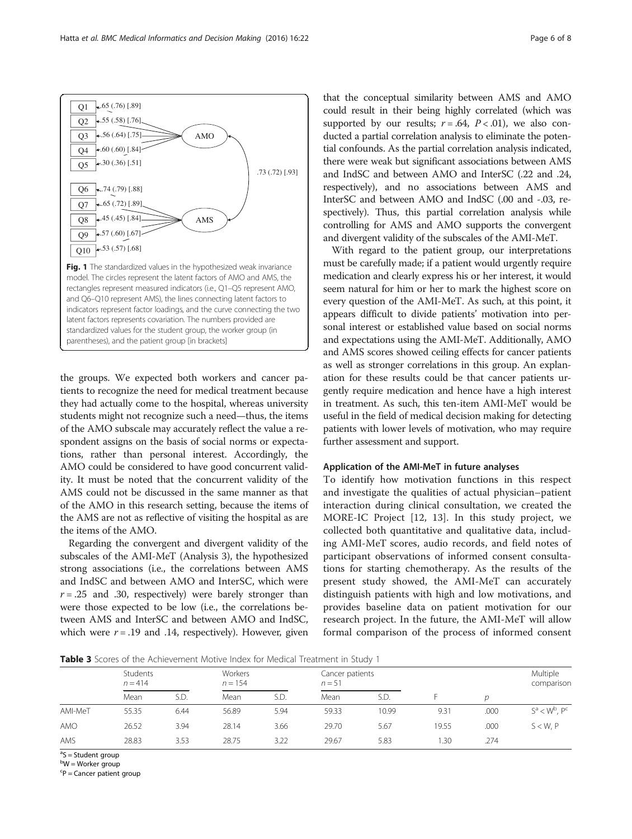the groups. We expected both workers and cancer patients to recognize the need for medical treatment because they had actually come to the hospital, whereas university students might not recognize such a need—thus, the items of the AMO subscale may accurately reflect the value a respondent assigns on the basis of social norms or expectations, rather than personal interest. Accordingly, the AMO could be considered to have good concurrent validity. It must be noted that the concurrent validity of the AMS could not be discussed in the same manner as that of the AMO in this research setting, because the items of the AMS are not as reflective of visiting the hospital as are the items of the AMO.

Regarding the convergent and divergent validity of the subscales of the AMI-MeT (Analysis 3), the hypothesized strong associations (i.e., the correlations between AMS and IndSC and between AMO and InterSC, which were  $r = .25$  and .30, respectively) were barely stronger than were those expected to be low (i.e., the correlations between AMS and InterSC and between AMO and IndSC, which were  $r = .19$  and  $.14$ , respectively). However, given

that the conceptual similarity between AMS and AMO could result in their being highly correlated (which was supported by our results;  $r = .64$ ,  $P < .01$ ), we also conducted a partial correlation analysis to eliminate the potential confounds. As the partial correlation analysis indicated, there were weak but significant associations between AMS and IndSC and between AMO and InterSC (.22 and .24, respectively), and no associations between AMS and InterSC and between AMO and IndSC (.00 and -.03, respectively). Thus, this partial correlation analysis while controlling for AMS and AMO supports the convergent and divergent validity of the subscales of the AMI-MeT.

With regard to the patient group, our interpretations must be carefully made; if a patient would urgently require medication and clearly express his or her interest, it would seem natural for him or her to mark the highest score on every question of the AMI-MeT. As such, at this point, it appears difficult to divide patients' motivation into personal interest or established value based on social norms and expectations using the AMI-MeT. Additionally, AMO and AMS scores showed ceiling effects for cancer patients as well as stronger correlations in this group. An explanation for these results could be that cancer patients urgently require medication and hence have a high interest in treatment. As such, this ten-item AMI-MeT would be useful in the field of medical decision making for detecting patients with lower levels of motivation, who may require further assessment and support.

#### Application of the AMI-MeT in future analyses

To identify how motivation functions in this respect and investigate the qualities of actual physician–patient interaction during clinical consultation, we created the MORE-IC Project [\[12](#page-7-0), [13\]](#page-7-0). In this study project, we collected both quantitative and qualitative data, including AMI-MeT scores, audio records, and field notes of participant observations of informed consent consultations for starting chemotherapy. As the results of the present study showed, the AMI-MeT can accurately distinguish patients with high and low motivations, and provides baseline data on patient motivation for our research project. In the future, the AMI-MeT will allow formal comparison of the process of informed consent



|         | Students<br>$n = 414$ |      | Workers<br>$n = 154$ |      | Cancer patients<br>$n = 51$ |       |       |      | Multiple<br>comparison |  |
|---------|-----------------------|------|----------------------|------|-----------------------------|-------|-------|------|------------------------|--|
|         | Mean                  | S.D. | Mean                 | S.D. | Mean                        | S.D.  |       | D    |                        |  |
| AMI-MeT | 55.35                 | 6.44 | 56.89                | 5.94 | 59.33                       | 10.99 | 9.31  | .000 | $S^a < W^b$ . $P^c$    |  |
| AMO     | 26.52                 | 3.94 | 28.14                | 3.66 | 29.70                       | 5.67  | 19.55 | .000 | S < W, P               |  |
| AMS     | 28.83                 | 3.53 | 28.75                | 3.22 | 29.67                       | 5.83  | .30   | .274 |                        |  |

<sup>a</sup>S = Student group

 $b$ W = Worker group

 ${}^{c}P$  = Cancer patient group

<span id="page-5-0"></span>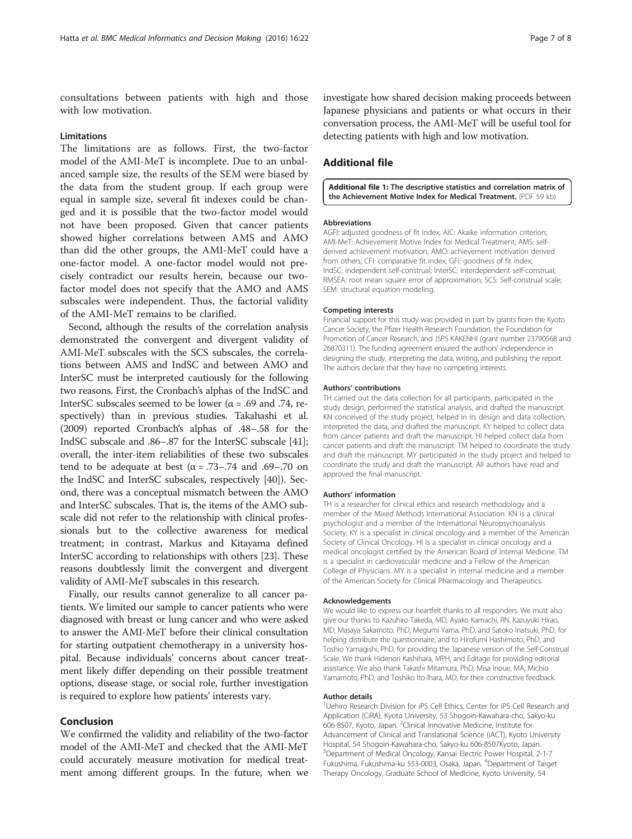<span id="page-6-0"></span>consultations between patients with high and those with low motivation.

## **Limitations**

The limitations are as follows. First, the two-factor model of the AMI-MeT is incomplete. Due to an unbalanced sample size, the results of the SEM were biased by the data from the student group. If each group were equal in sample size, several fit indexes could be changed and it is possible that the two-factor model would not have been proposed. Given that cancer patients showed higher correlations between AMS and AMO than did the other groups, the AMI-MeT could have a one-factor model. A one-factor model would not precisely contradict our results herein, because our twofactor model does not specify that the AMO and AMS subscales were independent. Thus, the factorial validity of the AMI-MeT remains to be clarified.

Second, although the results of the correlation analysis demonstrated the convergent and divergent validity of AMI-MeT subscales with the SCS subscales, the correlations between AMS and IndSC and between AMO and InterSC must be interpreted cautiously for the following two reasons. First, the Cronbach's alphas of the IndSC and InterSC subscales seemed to be lower ( $\alpha$  = .69 and .74, respectively) than in previous studies. Takahashi et al. (2009) reported Cronbach's alphas of .48–.58 for the IndSC subscale and .86–.87 for the InterSC subscale [[41](#page-7-0)]; overall, the inter-item reliabilities of these two subscales tend to be adequate at best ( $\alpha = .73 - .74$  and .69–.70 on the IndSC and InterSC subscales, respectively [[40](#page-7-0)]). Second, there was a conceptual mismatch between the AMO and InterSC subscales. That is, the items of the AMO subscale did not refer to the relationship with clinical professionals but to the collective awareness for medical treatment; in contrast, Markus and Kitayama defined InterSC according to relationships with others [[23](#page-7-0)]. These reasons doubtlessly limit the convergent and divergent validity of AMI-MeT subscales in this research.

Finally, our results cannot generalize to all cancer patients. We limited our sample to cancer patients who were diagnosed with breast or lung cancer and who were asked to answer the AMI-MeT before their clinical consultation for starting outpatient chemotherapy in a university hospital. Because individuals' concerns about cancer treatment likely differ depending on their possible treatment options, disease stage, or social role, further investigation is required to explore how patients' interests vary.

# Conclusion

We confirmed the validity and reliability of the two-factor model of the AMI-MeT and checked that the AMI-MeT could accurately measure motivation for medical treatment among different groups. In the future, when we investigate how shared decision making proceeds between Japanese physicians and patients or what occurs in their conversation process, the AMI-MeT will be useful tool for detecting patients with high and low motivation.

# Additional file

[Additional file 1:](dx.doi.org/10.1186/s12911-016-0260-0) The descriptive statistics and correlation matrix of the Achievement Motive Index for Medical Treatment. (PDF 59 kb)

#### Abbreviations

AGFI: adjusted goodness of fit index; AIC: Akaike information criterion; AMI-MeT: Achievement Motive Index for Medical Treatment; AMS: selfderived achievement motivation; AMO: achievement motivation derived from others; CFI: comparative fit index; GFI: goodness of fit index; IndSC: independent self-construal; InterSC: interdependent self-construal; RMSEA: root mean square error of approximation; SCS: Self-construal scale; SEM: structural equation modeling.

#### Competing interests

Financial support for this study was provided in part by grants from the Kyoto Cancer Society, the Pfizer Health Research Foundation, the Foundation for Promotion of Cancer Research, and JSPS KAKENHI (grant number 23790568 and 26870311). The funding agreement ensured the authors' independence in designing the study, interpreting the data, writing, and publishing the report. The authors declare that they have no competing interests.

#### Authors' contributions

TH carried out the data collection for all participants, participated in the study design, performed the statistical analysis, and drafted the manuscript. KN conceived of the study project, helped in its design and data collection, interpreted the data, and drafted the manuscript. KY helped to collect data from cancer patients and draft the manuscript. HI helped collect data from cancer patients and draft the manuscript. TM helped to coordinate the study and draft the manuscript. MY participated in the study project and helped to coordinate the study and draft the manuscript. All authors have read and approved the final manuscript.

#### Authors' information

TH is a researcher for clinical ethics and research methodology and a member of the Mixed Methods International Association. KN is a clinical psychologist and a member of the International Neuropsychoanalysis Society. KY is a specialist in clinical oncology and a member of the American Society of Clinical Oncology. HI is a specialist in clinical oncology and a medical oncologist certified by the American Board of Internal Medicine. TM is a specialist in cardiovascular medicine and a Fellow of the American College of Physicians. MY is a specialist in internal medicine and a member of the American Society for Clinical Pharmacology and Therapeutics.

#### Acknowledgements

We would like to express our heartfelt thanks to all responders. We must also give our thanks to Kazuhiro Takeda, MD, Ayako Kamachi, RN, Kazuyuki Hirao, MD, Masaya Sakamoto, PhD, Megumi Yama, PhD, and Satoko Inatsuki, PhD, for helping distribute the questionnaire, and to Hirofumi Hashimoto, PhD, and Toshio Yamagishi, PhD, for providing the Japanese version of the Self-Construal Scale. We thank Hidenori Kashihara, MPH, and Editage for providing editorial assistance. We also thank Takashi Mitamura, PhD, Misa Inoue, MA, Michio Yamamoto, PhD, and Toshiko Ito-Ihara, MD, for their constructive feedback.

#### Author details

<sup>1</sup> Uehiro Research Division for iPS Cell Ethics, Center for iPS Cell Research and Application (CiRA), Kyoto University, 53 Shogoin-Kawahara-cho, Sakyo-ku 606-8507, Kyoto, Japan. <sup>2</sup> Clinical Innovative Medicine, Institute for Advancement of Clinical and Translational Science (iACT), Kyoto University Hospital, 54 Shogoin-Kawahara-cho, Sakyo-ku 606-8507Kyoto, Japan. <sup>3</sup> Department of Medical Oncology, Kansai Electric Power Hospital, 2-1-7 Fukushima, Fukushima-ku 553-0003, Osaka, Japan. <sup>4</sup> Department of Target Therapy Oncology, Graduate School of Medicine, Kyoto University, 54